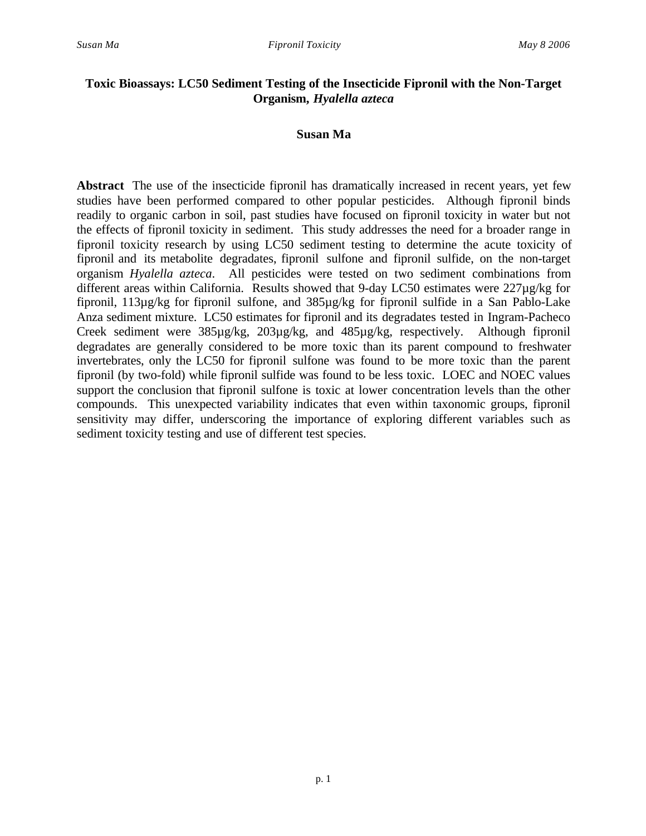# **Toxic Bioassays: LC50 Sediment Testing of the Insecticide Fipronil with the Non-Target Organism,** *Hyalella azteca*

# **Susan Ma**

**Abstract** The use of the insecticide fipronil has dramatically increased in recent years, yet few studies have been performed compared to other popular pesticides. Although fipronil binds readily to organic carbon in soil, past studies have focused on fipronil toxicity in water but not the effects of fipronil toxicity in sediment. This study addresses the need for a broader range in fipronil toxicity research by using LC50 sediment testing to determine the acute toxicity of fipronil and its metabolite degradates, fipronil sulfone and fipronil sulfide, on the non-target organism *Hyalella azteca*. All pesticides were tested on two sediment combinations from different areas within California. Results showed that 9-day LC50 estimates were 227µg/kg for fipronil, 113µg/kg for fipronil sulfone, and 385µg/kg for fipronil sulfide in a San Pablo-Lake Anza sediment mixture. LC50 estimates for fipronil and its degradates tested in Ingram-Pacheco Creek sediment were 385µg/kg, 203µg/kg, and 485µg/kg, respectively. Although fipronil degradates are generally considered to be more toxic than its parent compound to freshwater invertebrates, only the LC50 for fipronil sulfone was found to be more toxic than the parent fipronil (by two-fold) while fipronil sulfide was found to be less toxic. LOEC and NOEC values support the conclusion that fipronil sulfone is toxic at lower concentration levels than the other compounds. This unexpected variability indicates that even within taxonomic groups, fipronil sensitivity may differ, underscoring the importance of exploring different variables such as sediment toxicity testing and use of different test species.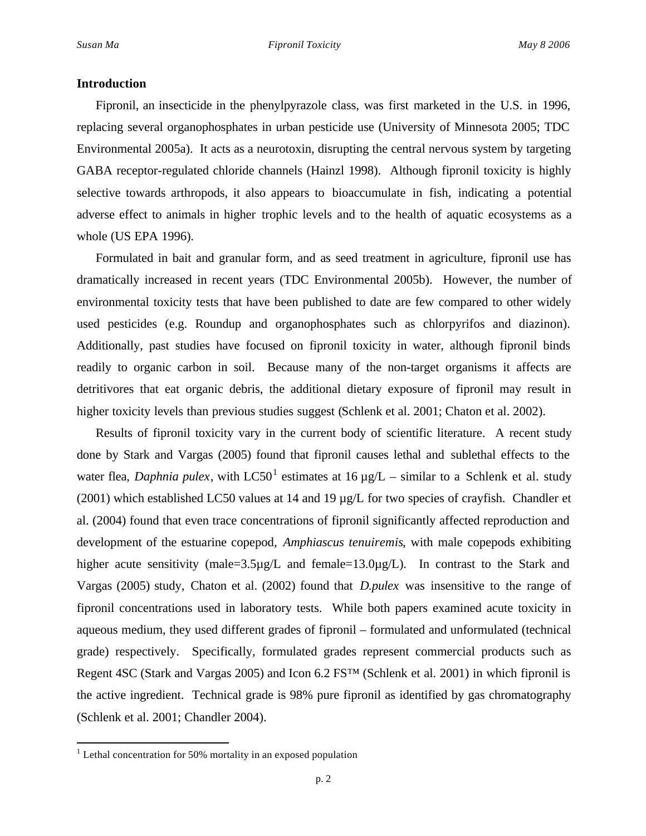### **Introduction**

Fipronil, an insecticide in the phenylpyrazole class, was first marketed in the U.S. in 1996, replacing several organophosphates in urban pesticide use (University of Minnesota 2005; TDC Environmental 2005a). It acts as a neurotoxin, disrupting the central nervous system by targeting GABA receptor-regulated chloride channels (Hainzl 1998). Although fipronil toxicity is highly selective towards arthropods, it also appears to bioaccumulate in fish, indicating a potential adverse effect to animals in higher trophic levels and to the health of aquatic ecosystems as a whole (US EPA 1996).

Formulated in bait and granular form, and as seed treatment in agriculture, fipronil use has dramatically increased in recent years (TDC Environmental 2005b). However, the number of environmental toxicity tests that have been published to date are few compared to other widely used pesticides (e.g. Roundup and organophosphates such as chlorpyrifos and diazinon). Additionally, past studies have focused on fipronil toxicity in water, although fipronil binds readily to organic carbon in soil. Because many of the non-target organisms it affects are detritivores that eat organic debris, the additional dietary exposure of fipronil may result in higher toxicity levels than previous studies suggest (Schlenk et al. 2001; Chaton et al. 2002).

Results of fipronil toxicity vary in the current body of scientific literature. A recent study done by Stark and Vargas (2005) found that fipronil causes lethal and sublethal effects to the water flea, *Daphnia pulex*, with LC50<sup>1</sup> estimates at 16  $\mu$ g/L – similar to a Schlenk et al. study (2001) which established LC50 values at 14 and 19 µg/L for two species of crayfish. Chandler et al. (2004) found that even trace concentrations of fipronil significantly affected reproduction and development of the estuarine copepod, *Amphiascus tenuiremis*, with male copepods exhibiting higher acute sensitivity (male=3.5µg/L and female=13.0µg/L). In contrast to the Stark and Vargas (2005) study, Chaton et al. (2002) found that *D.pulex* was insensitive to the range of fipronil concentrations used in laboratory tests. While both papers examined acute toxicity in aqueous medium, they used different grades of fipronil – formulated and unformulated (technical grade) respectively. Specifically, formulated grades represent commercial products such as Regent 4SC (Stark and Vargas 2005) and Icon 6.2 FS™ (Schlenk et al. 2001) in which fipronil is the active ingredient. Technical grade is 98% pure fipronil as identified by gas chromatography (Schlenk et al. 2001; Chandler 2004).

 $\overline{a}$ 

<sup>&</sup>lt;sup>1</sup> Lethal concentration for 50% mortality in an exposed population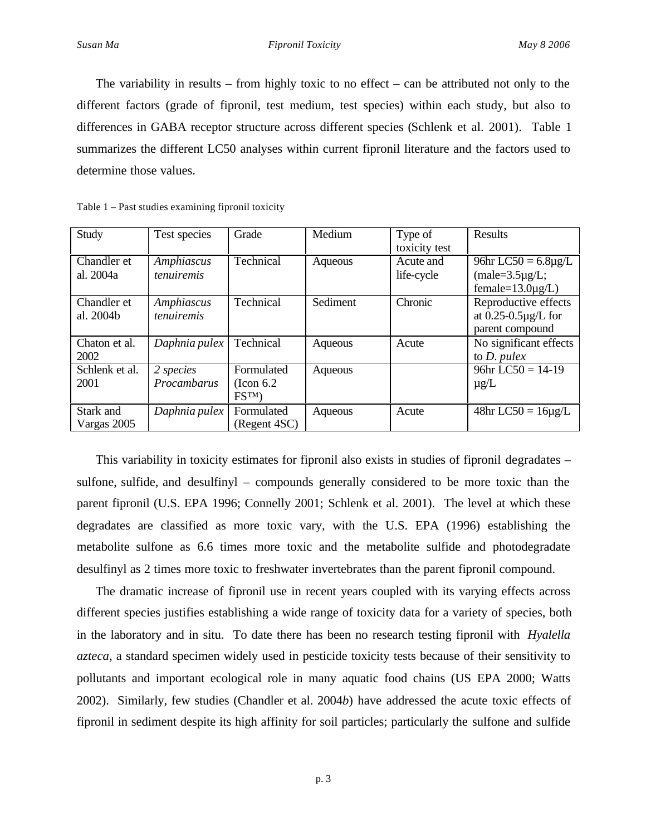The variability in results – from highly toxic to no effect – can be attributed not only to the different factors (grade of fipronil, test medium, test species) within each study, but also to differences in GABA receptor structure across different species (Schlenk et al. 2001). Table 1 summarizes the different LC50 analyses within current fipronil literature and the factors used to determine those values.

| Study                    | Test species                    | Grade                                       | Medium   | Type of<br>toxicity test | Results                                                                              |
|--------------------------|---------------------------------|---------------------------------------------|----------|--------------------------|--------------------------------------------------------------------------------------|
| Chandler et<br>al. 2004a | Amphiascus<br><i>tenuiremis</i> | Technical                                   | Aqueous  | Acute and<br>life-cycle  | $\overline{96}$ hr LC50 = 6.8µg/L<br>$(male=3.5\mu g/L)$ ;<br>female= $13.0\mu$ g/L) |
| Chandler et<br>al. 2004b | Amphiascus<br>tenuiremis        | Technical                                   | Sediment | Chronic                  | Reproductive effects<br>at $0.25 - 0.5\mu g/L$ for<br>parent compound                |
| Chaton et al.<br>2002    | Daphnia pulex                   | Technical                                   | Aqueous  | Acute                    | No significant effects<br>to $D.$ pulex                                              |
| Schlenk et al.<br>2001   | 2 species<br>Procambarus        | Formulated<br>$($ Icon 6.2<br>$\text{FSTM}$ | Aqueous  |                          | $96hr$ LC50 = 14-19<br>$\mu$ g/L                                                     |
| Stark and<br>Vargas 2005 | Daphnia pulex                   | Formulated<br>(Regent 4SC)                  | Aqueous  | Acute                    | $48hr$ LC50 = $16\mu g/L$                                                            |

Table 1 – Past studies examining fipronil toxicity

This variability in toxicity estimates for fipronil also exists in studies of fipronil degradates – sulfone, sulfide, and desulfinyl – compounds generally considered to be more toxic than the parent fipronil (U.S. EPA 1996; Connelly 2001; Schlenk et al. 2001). The level at which these degradates are classified as more toxic vary, with the U.S. EPA (1996) establishing the metabolite sulfone as 6.6 times more toxic and the metabolite sulfide and photodegradate desulfinyl as 2 times more toxic to freshwater invertebrates than the parent fipronil compound.

The dramatic increase of fipronil use in recent years coupled with its varying effects across different species justifies establishing a wide range of toxicity data for a variety of species, both in the laboratory and in situ. To date there has been no research testing fipronil with *Hyalella azteca*, a standard specimen widely used in pesticide toxicity tests because of their sensitivity to pollutants and important ecological role in many aquatic food chains (US EPA 2000; Watts 2002). Similarly, few studies (Chandler et al. 2004*b*) have addressed the acute toxic effects of fipronil in sediment despite its high affinity for soil particles; particularly the sulfone and sulfide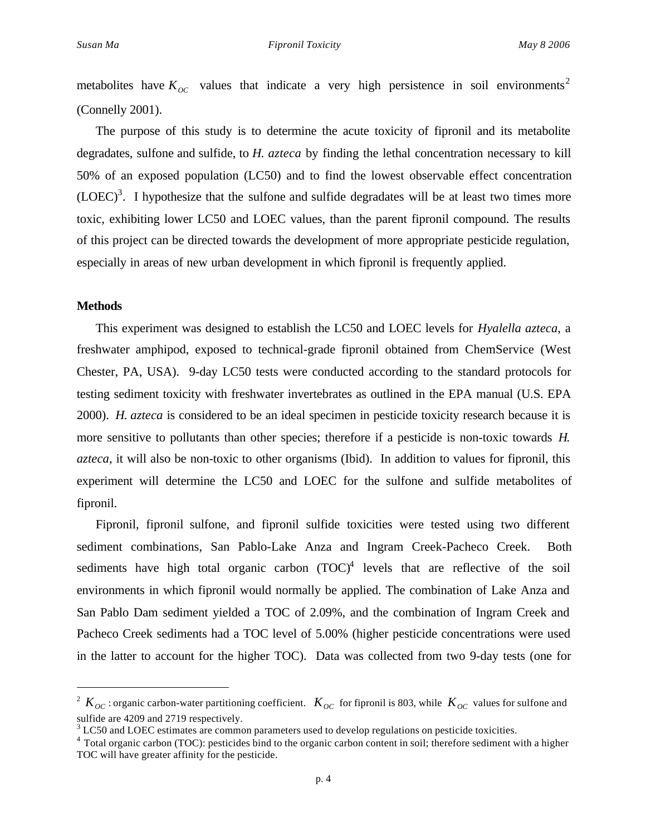metabolites have  $K_{OC}$  values that indicate a very high persistence in soil environments<sup>2</sup> (Connelly 2001).

The purpose of this study is to determine the acute toxicity of fipronil and its metabolite degradates, sulfone and sulfide, to *H. azteca* by finding the lethal concentration necessary to kill 50% of an exposed population (LC50) and to find the lowest observable effect concentration  $(LOEC)^3$ . I hypothesize that the sulfone and sulfide degradates will be at least two times more toxic, exhibiting lower LC50 and LOEC values, than the parent fipronil compound. The results of this project can be directed towards the development of more appropriate pesticide regulation, especially in areas of new urban development in which fipronil is frequently applied.

#### **Methods**

 $\overline{a}$ 

This experiment was designed to establish the LC50 and LOEC levels for *Hyalella azteca*, a freshwater amphipod, exposed to technical-grade fipronil obtained from ChemService (West Chester, PA, USA). 9-day LC50 tests were conducted according to the standard protocols for testing sediment toxicity with freshwater invertebrates as outlined in the EPA manual (U.S. EPA 2000). *H. azteca* is considered to be an ideal specimen in pesticide toxicity research because it is more sensitive to pollutants than other species; therefore if a pesticide is non-toxic towards *H. azteca*, it will also be non-toxic to other organisms (Ibid). In addition to values for fipronil, this experiment will determine the LC50 and LOEC for the sulfone and sulfide metabolites of fipronil.

Fipronil, fipronil sulfone, and fipronil sulfide toxicities were tested using two different sediment combinations, San Pablo-Lake Anza and Ingram Creek-Pacheco Creek. Both sediments have high total organic carbon  $(TOC)^4$  levels that are reflective of the soil environments in which fipronil would normally be applied. The combination of Lake Anza and San Pablo Dam sediment yielded a TOC of 2.09%, and the combination of Ingram Creek and Pacheco Creek sediments had a TOC level of 5.00% (higher pesticide concentrations were used in the latter to account for the higher TOC). Data was collected from two 9-day tests (one for

<sup>&</sup>lt;sup>2</sup>  $K_{OC}$ : organic carbon-water partitioning coefficient.  $K_{OC}$  for fipronil is 803, while  $K_{OC}$  values for sulfone and sulfide are 4209 and 2719 respectively.

 $3$  LC50 and LOEC estimates are common parameters used to develop regulations on pesticide toxicities.

<sup>&</sup>lt;sup>4</sup> Total organic carbon (TOC): pesticides bind to the organic carbon content in soil; therefore sediment with a higher TOC will have greater affinity for the pesticide.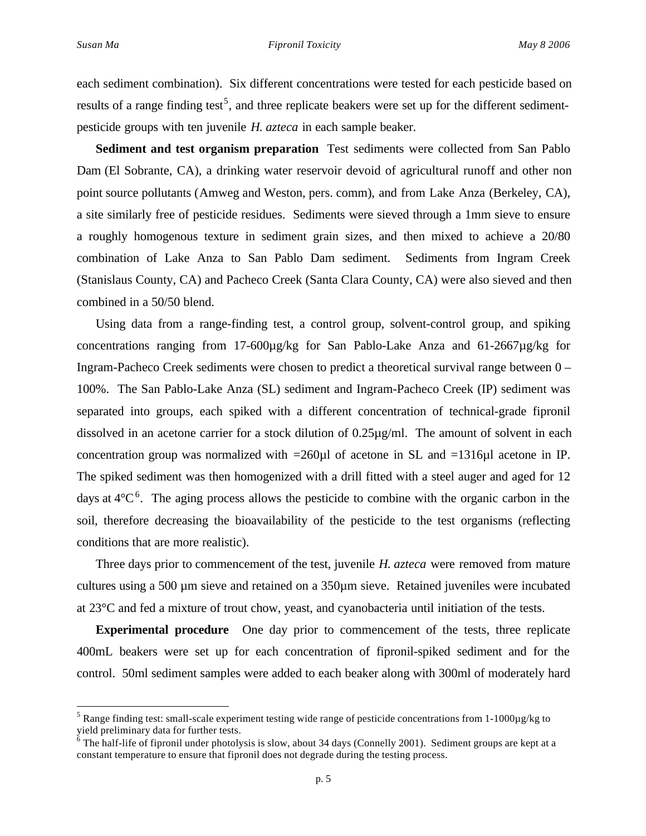$\overline{a}$ 

each sediment combination). Six different concentrations were tested for each pesticide based on results of a range finding test<sup>5</sup>, and three replicate beakers were set up for the different sedimentpesticide groups with ten juvenile *H. azteca* in each sample beaker.

**Sediment and test organism preparation** Test sediments were collected from San Pablo Dam (El Sobrante, CA), a drinking water reservoir devoid of agricultural runoff and other non point source pollutants (Amweg and Weston, pers. comm), and from Lake Anza (Berkeley, CA), a site similarly free of pesticide residues. Sediments were sieved through a 1mm sieve to ensure a roughly homogenous texture in sediment grain sizes, and then mixed to achieve a 20/80 combination of Lake Anza to San Pablo Dam sediment. Sediments from Ingram Creek (Stanislaus County, CA) and Pacheco Creek (Santa Clara County, CA) were also sieved and then combined in a 50/50 blend.

Using data from a range-finding test, a control group, solvent-control group, and spiking concentrations ranging from  $17-600\mu$ g/kg for San Pablo-Lake Anza and  $61-2667\mu$ g/kg for Ingram-Pacheco Creek sediments were chosen to predict a theoretical survival range between 0 – 100%. The San Pablo-Lake Anza (SL) sediment and Ingram-Pacheco Creek (IP) sediment was separated into groups, each spiked with a different concentration of technical-grade fipronil dissolved in an acetone carrier for a stock dilution of 0.25µg/ml. The amount of solvent in each concentration group was normalized with  $=260\mu$ l of acetone in SL and  $=1316\mu$ l acetone in IP. The spiked sediment was then homogenized with a drill fitted with a steel auger and aged for 12 days at  $4^{\circ}C^6$ . The aging process allows the pesticide to combine with the organic carbon in the soil, therefore decreasing the bioavailability of the pesticide to the test organisms (reflecting conditions that are more realistic).

Three days prior to commencement of the test, juvenile *H. azteca* were removed from mature cultures using a 500 µm sieve and retained on a 350µm sieve. Retained juveniles were incubated at 23°C and fed a mixture of trout chow, yeast, and cyanobacteria until initiation of the tests.

**Experimental procedure** One day prior to commencement of the tests, three replicate 400mL beakers were set up for each concentration of fipronil-spiked sediment and for the control. 50ml sediment samples were added to each beaker along with 300ml of moderately hard

<sup>&</sup>lt;sup>5</sup> Range finding test: small-scale experiment testing wide range of pesticide concentrations from 1-1000 $\mu$ g/kg to yield preliminary data for further tests.<br><sup>6</sup> The half-life of fipronil under photolysis is slow, about 34 days (Connelly 2001). Sediment groups are kept at a

constant temperature to ensure that fipronil does not degrade during the testing process.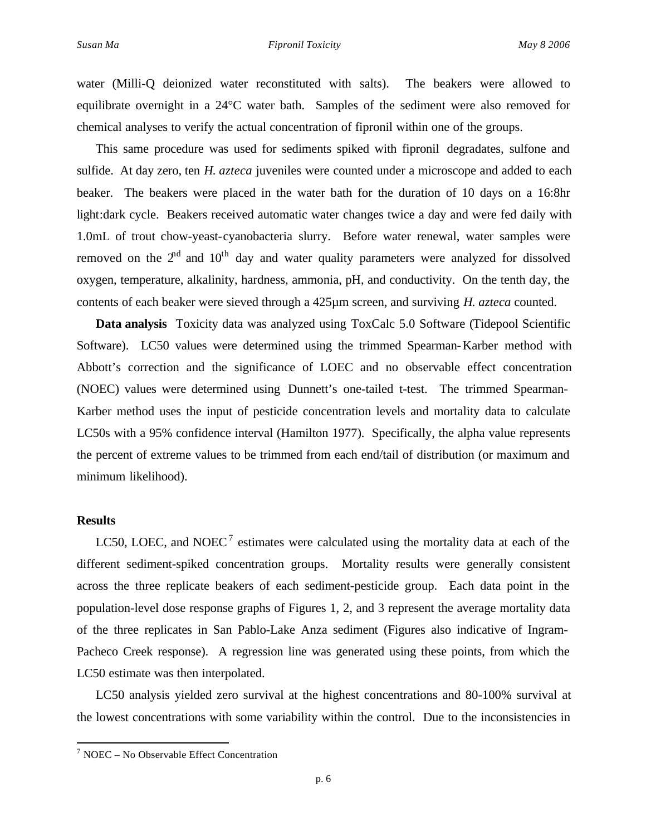water (Milli-Q deionized water reconstituted with salts). The beakers were allowed to equilibrate overnight in a 24°C water bath. Samples of the sediment were also removed for chemical analyses to verify the actual concentration of fipronil within one of the groups.

This same procedure was used for sediments spiked with fipronil degradates, sulfone and sulfide. At day zero, ten *H. azteca* juveniles were counted under a microscope and added to each beaker. The beakers were placed in the water bath for the duration of 10 days on a 16:8hr light:dark cycle. Beakers received automatic water changes twice a day and were fed daily with 1.0mL of trout chow-yeast-cyanobacteria slurry. Before water renewal, water samples were removed on the  $2<sup>nd</sup>$  and  $10<sup>th</sup>$  day and water quality parameters were analyzed for dissolved oxygen, temperature, alkalinity, hardness, ammonia, pH, and conductivity. On the tenth day, the contents of each beaker were sieved through a 425µm screen, and surviving *H. azteca* counted.

**Data analysis** Toxicity data was analyzed using ToxCalc 5.0 Software (Tidepool Scientific Software). LC50 values were determined using the trimmed Spearman-Karber method with Abbott's correction and the significance of LOEC and no observable effect concentration (NOEC) values were determined using Dunnett's one-tailed t-test. The trimmed Spearman-Karber method uses the input of pesticide concentration levels and mortality data to calculate LC50s with a 95% confidence interval (Hamilton 1977). Specifically, the alpha value represents the percent of extreme values to be trimmed from each end/tail of distribution (or maximum and minimum likelihood).

### **Results**

 $\overline{a}$ 

LC50, LOEC, and NOEC<sup>7</sup> estimates were calculated using the mortality data at each of the different sediment-spiked concentration groups. Mortality results were generally consistent across the three replicate beakers of each sediment-pesticide group. Each data point in the population-level dose response graphs of Figures 1, 2, and 3 represent the average mortality data of the three replicates in San Pablo-Lake Anza sediment (Figures also indicative of Ingram-Pacheco Creek response). A regression line was generated using these points, from which the LC50 estimate was then interpolated.

LC50 analysis yielded zero survival at the highest concentrations and 80-100% survival at the lowest concentrations with some variability within the control. Due to the inconsistencies in

 $7$  NOEC – No Observable Effect Concentration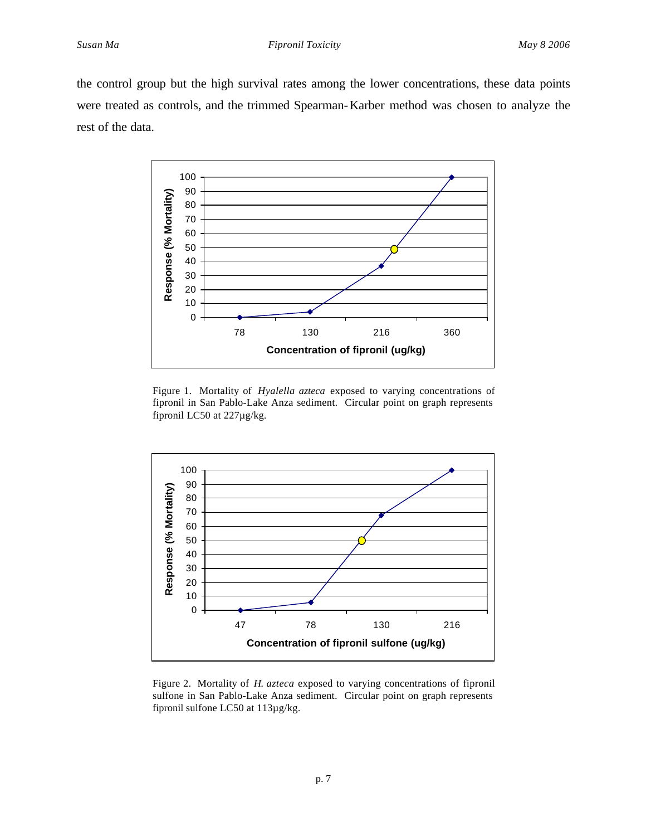the control group but the high survival rates among the lower concentrations, these data points were treated as controls, and the trimmed Spearman-Karber method was chosen to analyze the rest of the data.



Figure 1. Mortality of *Hyalella azteca* exposed to varying concentrations of fipronil in San Pablo-Lake Anza sediment. Circular point on graph represents fipronil LC50 at 227µg/kg.



Figure 2. Mortality of *H. azteca* exposed to varying concentrations of fipronil sulfone in San Pablo-Lake Anza sediment. Circular point on graph represents fipronil sulfone LC50 at 113µg/kg.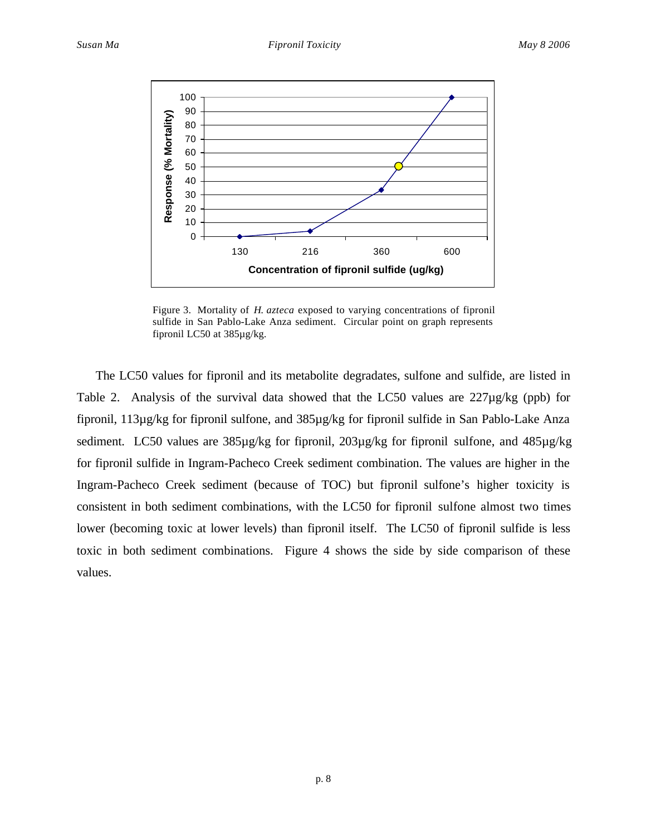

Figure 3. Mortality of *H. azteca* exposed to varying concentrations of fipronil sulfide in San Pablo-Lake Anza sediment. Circular point on graph represents fipronil LC50 at 385µg/kg.

The LC50 values for fipronil and its metabolite degradates, sulfone and sulfide, are listed in Table 2. Analysis of the survival data showed that the LC50 values are 227µg/kg (ppb) for fipronil, 113µg/kg for fipronil sulfone, and 385µg/kg for fipronil sulfide in San Pablo-Lake Anza sediment. LC50 values are 385µg/kg for fipronil, 203µg/kg for fipronil sulfone, and 485µg/kg for fipronil sulfide in Ingram-Pacheco Creek sediment combination. The values are higher in the Ingram-Pacheco Creek sediment (because of TOC) but fipronil sulfone's higher toxicity is consistent in both sediment combinations, with the LC50 for fipronil sulfone almost two times lower (becoming toxic at lower levels) than fipronil itself. The LC50 of fipronil sulfide is less toxic in both sediment combinations. Figure 4 shows the side by side comparison of these values.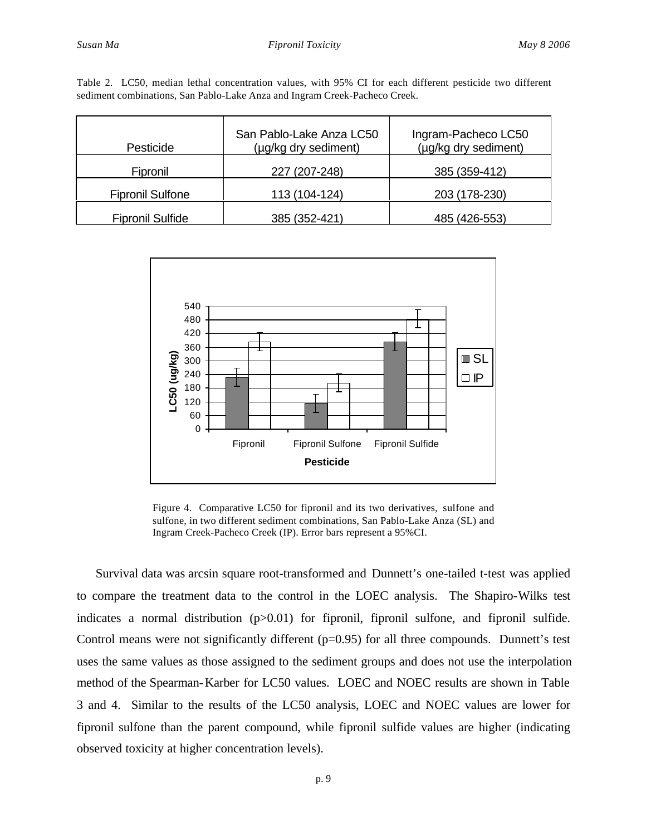| Table 2. LC50, median lethal concentration values, with 95% CI for each different pesticide two different |  |  |  |  |  |  |
|-----------------------------------------------------------------------------------------------------------|--|--|--|--|--|--|
| sediment combinations, San Pablo-Lake Anza and Ingram Creek-Pacheco Creek.                                |  |  |  |  |  |  |

| Pesticide               | San Pablo-Lake Anza LC50<br>(µg/kg dry sediment) | Ingram-Pacheco LC50<br>(µg/kg dry sediment) |  |  |  |
|-------------------------|--------------------------------------------------|---------------------------------------------|--|--|--|
| Fipronil                | 227 (207-248)                                    | 385 (359-412)                               |  |  |  |
| <b>Fipronil Sulfone</b> | 113 (104-124)                                    | 203 (178-230)                               |  |  |  |
| <b>Fipronil Sulfide</b> | 385 (352-421)                                    | 485 (426-553)                               |  |  |  |



Figure 4. Comparative LC50 for fipronil and its two derivatives, sulfone and sulfone, in two different sediment combinations, San Pablo-Lake Anza (SL) and Ingram Creek-Pacheco Creek (IP). Error bars represent a 95%CI.

Survival data was arcsin square root-transformed and Dunnett's one-tailed t-test was applied to compare the treatment data to the control in the LOEC analysis. The Shapiro-Wilks test indicates a normal distribution (p>0.01) for fipronil, fipronil sulfone, and fipronil sulfide. Control means were not significantly different  $(p=0.95)$  for all three compounds. Dunnett's test uses the same values as those assigned to the sediment groups and does not use the interpolation method of the Spearman-Karber for LC50 values. LOEC and NOEC results are shown in Table 3 and 4. Similar to the results of the LC50 analysis, LOEC and NOEC values are lower for fipronil sulfone than the parent compound, while fipronil sulfide values are higher (indicating observed toxicity at higher concentration levels).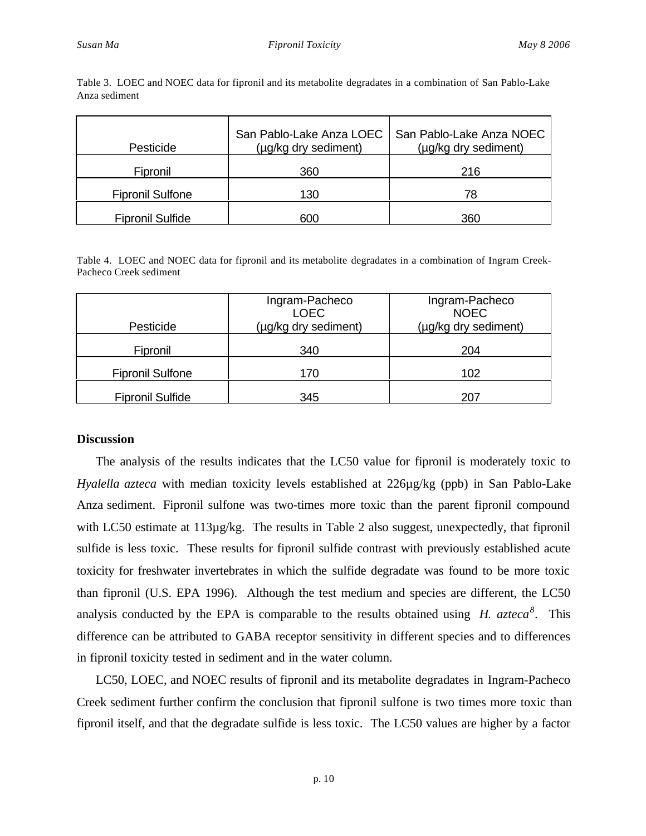| Pesticide               | San Pablo-Lake Anza LOEC<br>(µg/kg dry sediment) | San Pablo-Lake Anza NOEC<br>(µg/kg dry sediment) |  |  |
|-------------------------|--------------------------------------------------|--------------------------------------------------|--|--|
| Fipronil                | 360                                              | 216                                              |  |  |
| <b>Fipronil Sulfone</b> | 130                                              | 78                                               |  |  |
| <b>Fipronil Sulfide</b> | 600                                              | 360                                              |  |  |

Table 3. LOEC and NOEC data for fipronil and its metabolite degradates in a combination of San Pablo-Lake Anza sediment

Table 4. LOEC and NOEC data for fipronil and its metabolite degradates in a combination of Ingram Creek-Pacheco Creek sediment

| Pesticide               | Ingram-Pacheco<br><b>LOEC</b><br>(µg/kg dry sediment) | Ingram-Pacheco<br><b>NOEC</b><br>(µg/kg dry sediment) |  |  |  |
|-------------------------|-------------------------------------------------------|-------------------------------------------------------|--|--|--|
| Fipronil                | 340                                                   | 204                                                   |  |  |  |
| <b>Fipronil Sulfone</b> | 170                                                   | 102                                                   |  |  |  |
| <b>Fipronil Sulfide</b> | 345                                                   | 207                                                   |  |  |  |

### **Discussion**

The analysis of the results indicates that the LC50 value for fipronil is moderately toxic to *Hyalella azteca* with median toxicity levels established at 226µg/kg (ppb) in San Pablo-Lake Anza sediment. Fipronil sulfone was two-times more toxic than the parent fipronil compound with LC50 estimate at 113µg/kg. The results in Table 2 also suggest, unexpectedly, that fipronil sulfide is less toxic. These results for fipronil sulfide contrast with previously established acute toxicity for freshwater invertebrates in which the sulfide degradate was found to be more toxic than fipronil (U.S. EPA 1996). Although the test medium and species are different, the LC50 analysis conducted by the EPA is comparable to the results obtained using *H. azteca<sup>8</sup>* . This difference can be attributed to GABA receptor sensitivity in different species and to differences in fipronil toxicity tested in sediment and in the water column.

LC50, LOEC, and NOEC results of fipronil and its metabolite degradates in Ingram-Pacheco Creek sediment further confirm the conclusion that fipronil sulfone is two times more toxic than fipronil itself, and that the degradate sulfide is less toxic. The LC50 values are higher by a factor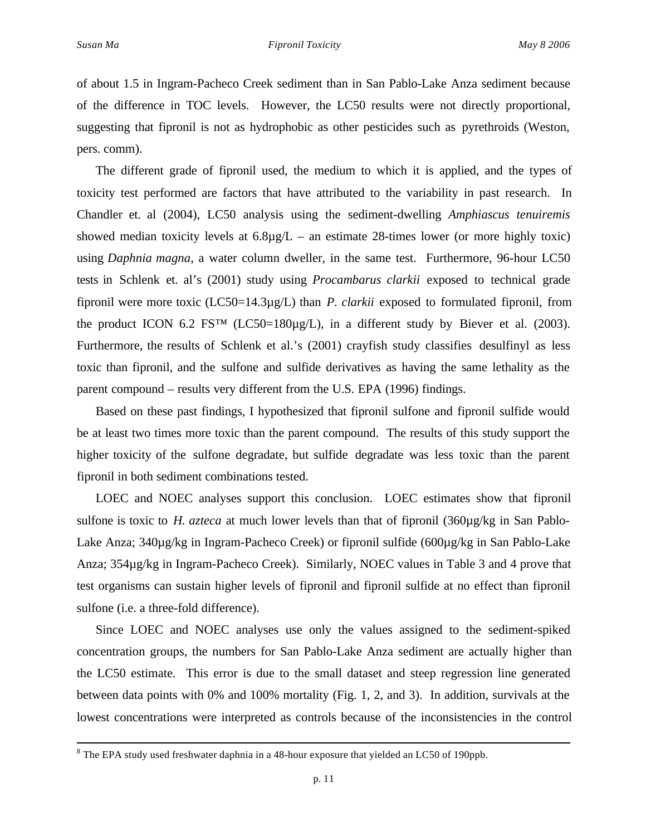$\overline{a}$ 

of about 1.5 in Ingram-Pacheco Creek sediment than in San Pablo-Lake Anza sediment because of the difference in TOC levels. However, the LC50 results were not directly proportional, suggesting that fipronil is not as hydrophobic as other pesticides such as pyrethroids (Weston, pers. comm).

The different grade of fipronil used, the medium to which it is applied, and the types of toxicity test performed are factors that have attributed to the variability in past research. In Chandler et. al (2004), LC50 analysis using the sediment-dwelling *Amphiascus tenuiremis* showed median toxicity levels at  $6.8\mu g/L$  – an estimate 28-times lower (or more highly toxic) using *Daphnia magna*, a water column dweller, in the same test. Furthermore, 96-hour LC50 tests in Schlenk et. al's (2001) study using *Procambarus clarkii* exposed to technical grade fipronil were more toxic (LC50=14.3µg/L) than *P. clarkii* exposed to formulated fipronil, from the product ICON 6.2 FS<sup>TM</sup> (LC50=180 $\mu$ g/L), in a different study by Biever et al. (2003). Furthermore, the results of Schlenk et al.'s (2001) crayfish study classifies desulfinyl as less toxic than fipronil, and the sulfone and sulfide derivatives as having the same lethality as the parent compound – results very different from the U.S. EPA (1996) findings.

Based on these past findings, I hypothesized that fipronil sulfone and fipronil sulfide would be at least two times more toxic than the parent compound. The results of this study support the higher toxicity of the sulfone degradate, but sulfide degradate was less toxic than the parent fipronil in both sediment combinations tested.

LOEC and NOEC analyses support this conclusion. LOEC estimates show that fipronil sulfone is toxic to *H. azteca* at much lower levels than that of fipronil (360µg/kg in San Pablo-Lake Anza; 340µg/kg in Ingram-Pacheco Creek) or fipronil sulfide (600µg/kg in San Pablo-Lake Anza; 354µg/kg in Ingram-Pacheco Creek). Similarly, NOEC values in Table 3 and 4 prove that test organisms can sustain higher levels of fipronil and fipronil sulfide at no effect than fipronil sulfone (i.e. a three-fold difference).

Since LOEC and NOEC analyses use only the values assigned to the sediment-spiked concentration groups, the numbers for San Pablo-Lake Anza sediment are actually higher than the LC50 estimate. This error is due to the small dataset and steep regression line generated between data points with 0% and 100% mortality (Fig. 1, 2, and 3). In addition, survivals at the lowest concentrations were interpreted as controls because of the inconsistencies in the control

 $8$  The EPA study used freshwater daphnia in a 48-hour exposure that yielded an LC50 of 190ppb.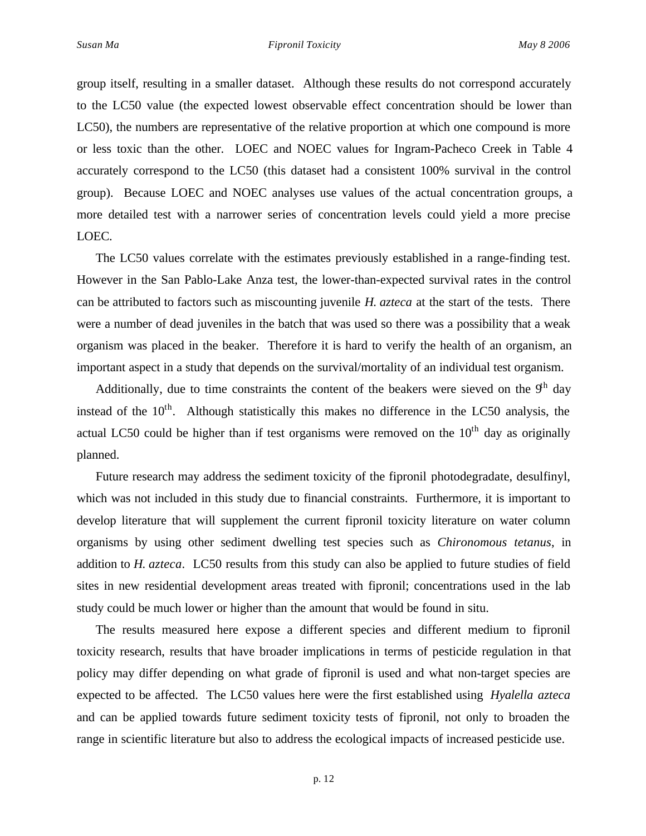group itself, resulting in a smaller dataset. Although these results do not correspond accurately to the LC50 value (the expected lowest observable effect concentration should be lower than LC50), the numbers are representative of the relative proportion at which one compound is more or less toxic than the other. LOEC and NOEC values for Ingram-Pacheco Creek in Table 4 accurately correspond to the LC50 (this dataset had a consistent 100% survival in the control group). Because LOEC and NOEC analyses use values of the actual concentration groups, a more detailed test with a narrower series of concentration levels could yield a more precise LOEC.

The LC50 values correlate with the estimates previously established in a range-finding test. However in the San Pablo-Lake Anza test, the lower-than-expected survival rates in the control can be attributed to factors such as miscounting juvenile *H. azteca* at the start of the tests. There were a number of dead juveniles in the batch that was used so there was a possibility that a weak organism was placed in the beaker. Therefore it is hard to verify the health of an organism, an important aspect in a study that depends on the survival/mortality of an individual test organism.

Additionally, due to time constraints the content of the beakers were sieved on the  $9<sup>th</sup>$  day instead of the  $10<sup>th</sup>$ . Although statistically this makes no difference in the LC50 analysis, the actual LC50 could be higher than if test organisms were removed on the  $10<sup>th</sup>$  day as originally planned.

Future research may address the sediment toxicity of the fipronil photodegradate, desulfinyl, which was not included in this study due to financial constraints. Furthermore, it is important to develop literature that will supplement the current fipronil toxicity literature on water column organisms by using other sediment dwelling test species such as *Chironomous tetanus*, in addition to *H. azteca*. LC50 results from this study can also be applied to future studies of field sites in new residential development areas treated with fipronil; concentrations used in the lab study could be much lower or higher than the amount that would be found in situ.

The results measured here expose a different species and different medium to fipronil toxicity research, results that have broader implications in terms of pesticide regulation in that policy may differ depending on what grade of fipronil is used and what non-target species are expected to be affected. The LC50 values here were the first established using *Hyalella azteca* and can be applied towards future sediment toxicity tests of fipronil, not only to broaden the range in scientific literature but also to address the ecological impacts of increased pesticide use.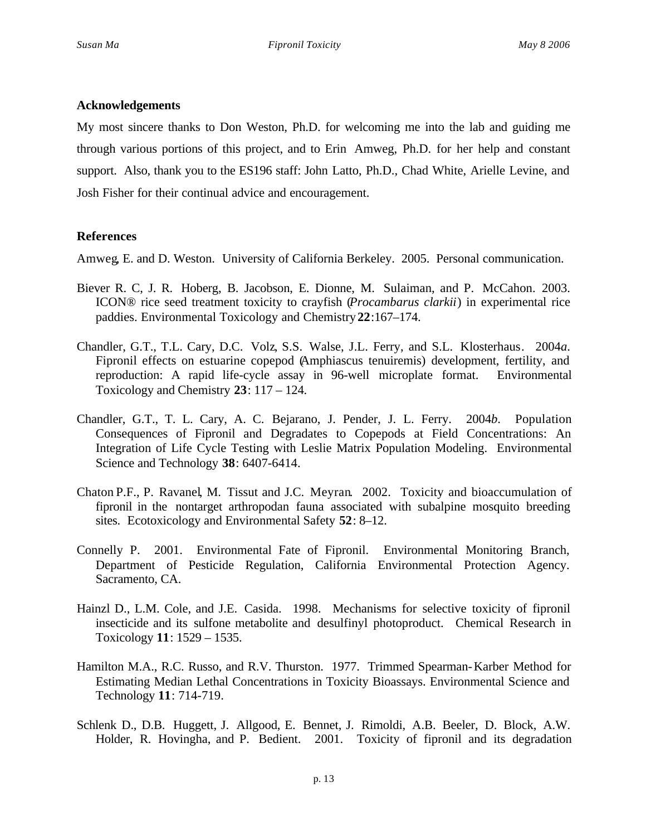# **Acknowledgements**

My most sincere thanks to Don Weston, Ph.D. for welcoming me into the lab and guiding me through various portions of this project, and to Erin Amweg, Ph.D. for her help and constant support. Also, thank you to the ES196 staff: John Latto, Ph.D., Chad White, Arielle Levine, and Josh Fisher for their continual advice and encouragement.

# **References**

Amweg, E. and D. Weston. University of California Berkeley. 2005. Personal communication.

- Biever R. C, J. R. Hoberg, B. Jacobson, E. Dionne, M. Sulaiman, and P. McCahon. 2003. ICON® rice seed treatment toxicity to crayfish (*Procambarus clarkii*) in experimental rice paddies. Environmental Toxicology and Chemistry**22**:167–174.
- Chandler, G.T., T.L. Cary, D.C. Volz, S.S. Walse, J.L. Ferry, and S.L. Klosterhaus. 2004*a*. Fipronil effects on estuarine copepod (Amphiascus tenuiremis) development, fertility, and reproduction: A rapid life-cycle assay in 96-well microplate format. Environmental Toxicology and Chemistry **23**: 117 – 124.
- Chandler, G.T., T. L. Cary, A. C. Bejarano, J. Pender, J. L. Ferry. 2004*b*. Population Consequences of Fipronil and Degradates to Copepods at Field Concentrations: An Integration of Life Cycle Testing with Leslie Matrix Population Modeling. Environmental Science and Technology **38**: 6407-6414.
- Chaton P.F., P. Ravanel, M. Tissut and J.C. Meyran. 2002. Toxicity and bioaccumulation of fipronil in the nontarget arthropodan fauna associated with subalpine mosquito breeding sites. Ecotoxicology and Environmental Safety **52**: 8–12.
- Connelly P. 2001. Environmental Fate of Fipronil. Environmental Monitoring Branch, Department of Pesticide Regulation, California Environmental Protection Agency. Sacramento, CA.
- Hainzl D., L.M. Cole, and J.E. Casida. 1998. Mechanisms for selective toxicity of fipronil insecticide and its sulfone metabolite and desulfinyl photoproduct. Chemical Research in Toxicology **11**: 1529 – 1535.
- Hamilton M.A., R.C. Russo, and R.V. Thurston. 1977. Trimmed Spearman-Karber Method for Estimating Median Lethal Concentrations in Toxicity Bioassays. Environmental Science and Technology **11**: 714-719.
- Schlenk D., D.B. Huggett, J. Allgood, E. Bennet, J. Rimoldi, A.B. Beeler, D. Block, A.W. Holder, R. Hovingha, and P. Bedient. 2001. Toxicity of fipronil and its degradation